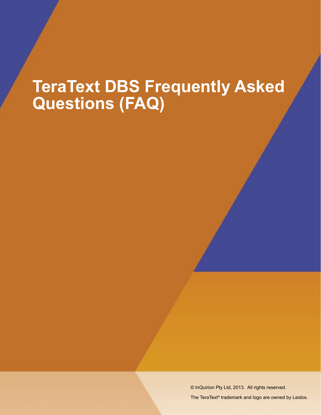# **TeraText DBS Frequently Asked Questions (FAQ)**

© InQuirion Pty Ltd, 2013. All rights reserved.

The TeraText® trademark and logo are owned by Leidos.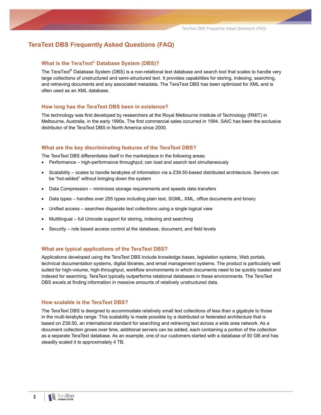# **TeraText DBS Frequently Asked Questions (FAQ)**

# **What is the TeraText® Database System (DBS)?**

The TeraText® Database System (DBS) is a non-relational text database and search tool that scales to handle very large collections of unstructured and semi-structured text. It provides capabilities for storing, indexing, searching, and retrieving documents and any associated metadata. The TeraText DBS has been optimized for XML and is often used as an XML database.

## **How long has the TeraText DBS been in existence?**

The technology was first developed by researchers at the Royal Melbourne Institute of Technology (RMIT) in Melbourne, Australia, in the early 1990s. The first commercial sales occurred in 1994. SAIC has been the exclusive distributor of the TeraText DBS in North America since 2000.

#### **What are the key discriminating features of the TeraText DBS?**

The TeraText DBS differentiates itself in the marketplace in the following areas:

- Performance high-performance throughput; can load and search text simultaneously
- Scalability scales to handle terabytes of information via a Z39.50-based distributed architecture. Servers can be "hot-added" without bringing down the system
- Data Compression minimizes storage requirements and speeds data transfers
- Data types handles over 255 types including plain text, SGML, XML, office documents and binary
- Unified access searches disparate text collections using a single logical view
- Multilingual full Unicode support for storing, indexing and searching
- Security role based access control at the database, document, and field levels

#### **What are typical applications of the TeraText DBS?**

Applications developed using the TeraText DBS include knowledge bases, legislation systems, Web portals, technical documentation systems, digital libraries, and email management systems. The product is particularly well suited for high-volume, high-throughput, workflow environments in which documents need to be quickly loaded and indexed for searching. TeraText typically outperforms relational databases in these environments. The TeraText DBS excels at finding information in massive amounts of relatively unstructured data.

# **How scalable is the TeraText DBS?**

The TeraText DBS is designed to accommodate relatively small text collections of less than a gigabyte to those in the multi-terabyte range. This scalability is made possible by a distributed or federated architecture that is based on Z39.50, an international standard for searching and retrieving text across a wide area network. As a document collection grows over time, additional servers can be added, each containing a portion of the collection as a separate TeraText database. As an example, one of our customers started with a database of 50 GB and has steadily scaled it to approximately 4 TB.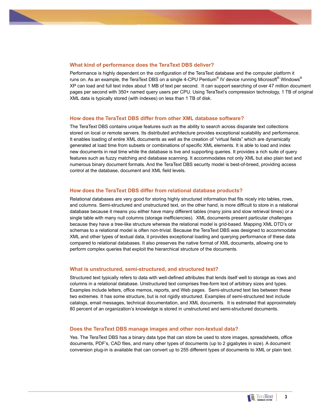# **What kind of performance does the TeraText DBS deliver?**

Performance is highly dependent on the configuration of the TeraText database and the computer platform it runs on. As an example, the TeraText DBS on a single 4-CPU Pentium® IV device running Microsoft® Windows® XP can load and full text index about 1 MB of text per second. It can support searching of over 47 million document pages per second with 350+ named query users per CPU. Using TeraText's compression technology, 1 TB of original XML data is typically stored (with indexes) on less than 1 TB of disk.

### **How does the TeraText DBS differ from other XML database software?**

The TeraText DBS contains unique features such as the ability to search across disparate text collections stored on local or remote servers. Its distributed architecture provides exceptional scalability and performance. It enables loading of entire XML documents as well as the creation of "virtual fields" which are dynamically generated at load time from subsets or combinations of specific XML elements. It is able to load and index new documents in real time while the database is live and supporting queries. It provides a rich suite of query features such as fuzzy matching and database scanning. It accommodates not only XML but also plain text and numerous binary document formats. And the TeraText DBS security model is best-of-breed, providing access control at the database, document and XML field levels.

# **How does the TeraText DBS differ from relational database products?**

Relational databases are very good for storing highly structured information that fits nicely into tables, rows, and columns. Semi-structured and unstructured text, on the other hand, is more difficult to store in a relational database because it means you either have many different tables (many joins and slow retrieval times) or a single table with many null columns (storage inefficiencies). XML documents present particular challenges because they have a tree-like structure whereas the relational model is grid-based. Mapping XML DTD's or schemas to a relational model is often non-trivial. Because the TeraText DBS was designed to accommodate XML and other types of textual data, it provides exceptional loading and querying performance of these data compared to relational databases. It also preserves the native format of XML documents, allowing one to perform complex queries that exploit the hierarchical structure of the documents.

### **What is unstructured, semi-structured, and structured text?**

Structured text typically refers to data with well-defined attributes that lends itself well to storage as rows and columns in a relational database. Unstructured text comprises free-form text of arbitrary sizes and types. Examples include letters, office memos, reports, and Web pages. Semi-structured text lies between these two extremes. It has some structure, but is not rigidly structured. Examples of semi-structured text include catalogs, email messages, technical documentation, and XML documents. It is estimated that approximately 80 percent of an organization's knowledge is stored in unstructured and semi-structured documents.

### **Does the TeraText DBS manage images and other non-textual data?**

Yes. The TeraText DBS has a binary data type that can store be used to store images, spreadsheets, office documents, PDF's, CAD files, and many other types of documents (up to 2 gigabytes in size). A document conversion plug-in is available that can convert up to 255 different types of documents to XML or plain text.

**3**